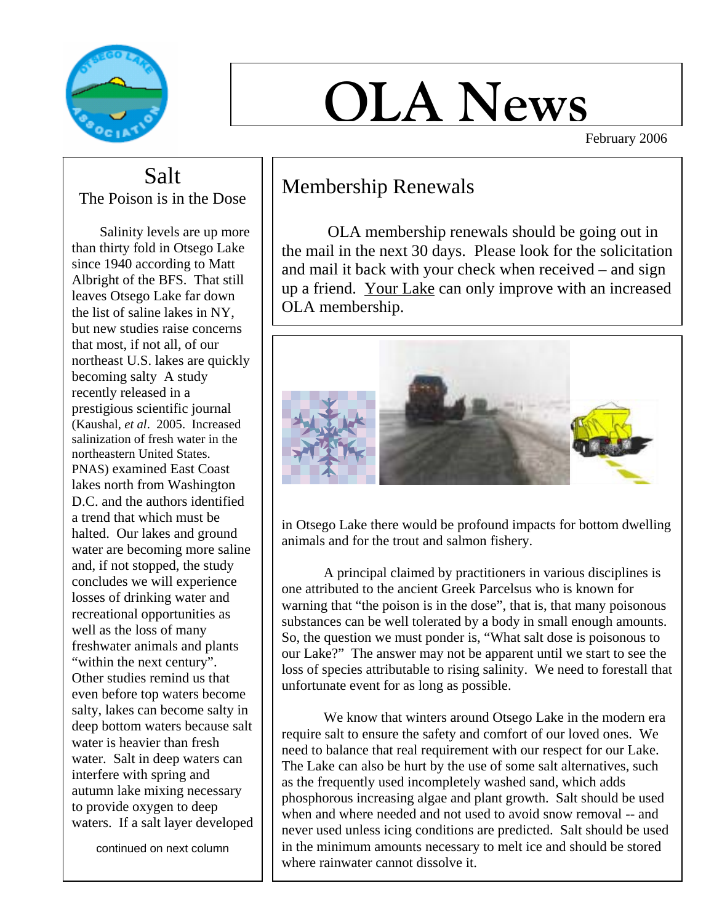

# **OLA News**

February 2006

Salt The Poison is in the Dose

 Salinity levels are up more than thirty fold in Otsego Lake since 1940 according to Matt Albright of the BFS. That still leaves Otsego Lake far down the list of saline lakes in NY, but new studies raise concerns that most, if not all, of our northeast U.S. lakes are quickly becoming salty A study recently released in a prestigious scientific journal (Kaushal, *et al*. 2005. Increased salinization of fresh water in the northeastern United States. PNAS) examined East Coast lakes north from Washington D.C. and the authors identified a trend that which must be halted. Our lakes and ground water are becoming more saline and, if not stopped, the study concludes we will experience losses of drinking water and recreational opportunities as well as the loss of many freshwater animals and plants "within the next century". Other studies remind us that even before top waters become salty, lakes can become salty in deep bottom waters because salt water is heavier than fresh water. Salt in deep waters can interfere with spring and autumn lake mixing necessary to provide oxygen to deep waters. If a salt layer developed

continued on next column

#### Membership Renewals

 OLA membership renewals should be going out in the mail in the next 30 days. Please look for the solicitation and mail it back with your check when received – and sign up a friend. Your Lake can only improve with an increased OLA membership.



in Otsego Lake there would be profound impacts for bottom dwelling animals and for the trout and salmon fishery.

A principal claimed by practitioners in various disciplines is one attributed to the ancient Greek Parcelsus who is known for warning that "the poison is in the dose", that is, that many poisonous substances can be well tolerated by a body in small enough amounts. So, the question we must ponder is, "What salt dose is poisonous to our Lake?" The answer may not be apparent until we start to see the loss of species attributable to rising salinity. We need to forestall that unfortunate event for as long as possible.

We know that winters around Otsego Lake in the modern era require salt to ensure the safety and comfort of our loved ones. We need to balance that real requirement with our respect for our Lake. The Lake can also be hurt by the use of some salt alternatives, such as the frequently used incompletely washed sand, which adds phosphorous increasing algae and plant growth. Salt should be used when and where needed and not used to avoid snow removal -- and never used unless icing conditions are predicted. Salt should be used in the minimum amounts necessary to melt ice and should be stored where rainwater cannot dissolve it.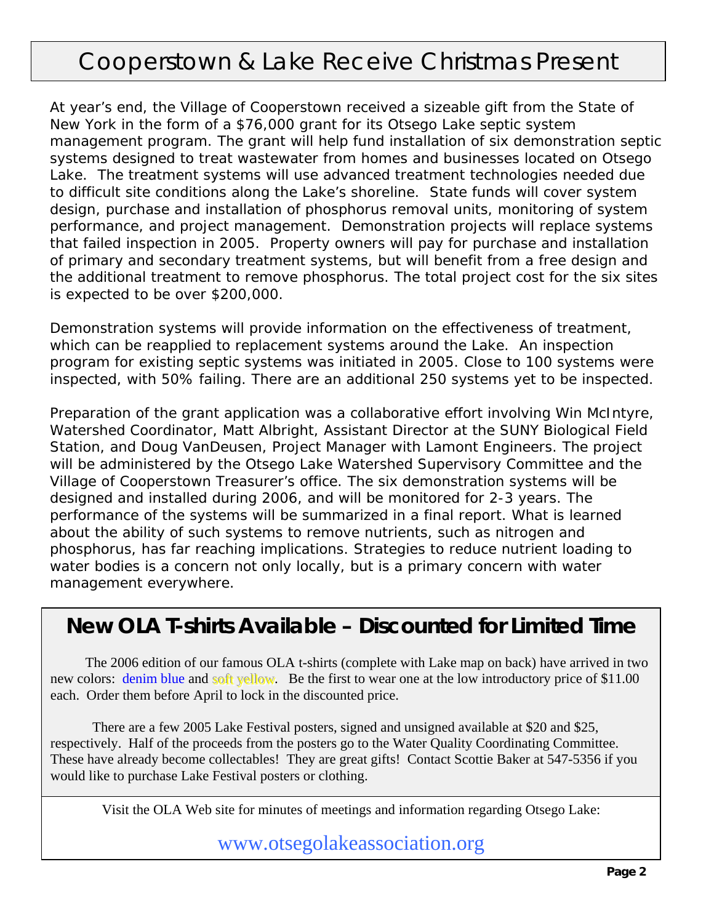## Cooperstown & Lake Receive Christmas Present

At year's end, the Village of Cooperstown received a sizeable gift from the State of New York in the form of a \$76,000 grant for its Otsego Lake septic system management program. The grant will help fund installation of six demonstration septic systems designed to treat wastewater from homes and businesses located on Otsego Lake. The treatment systems will use advanced treatment technologies needed due to difficult site conditions along the Lake's shoreline. State funds will cover system design, purchase and installation of phosphorus removal units, monitoring of system performance, and project management. Demonstration projects will replace systems that failed inspection in 2005. Property owners will pay for purchase and installation of primary and secondary treatment systems, but will benefit from a free design and the additional treatment to remove phosphorus. The total project cost for the six sites is expected to be over \$200,000.

Demonstration systems will provide information on the effectiveness of treatment, which can be reapplied to replacement systems around the Lake. An inspection program for existing septic systems was initiated in 2005. Close to 100 systems were inspected, with 50% failing. There are an additional 250 systems yet to be inspected.

Preparation of the grant application was a collaborative effort involving Win McIntyre, Watershed Coordinator, Matt Albright, Assistant Director at the SUNY Biological Field Station, and Doug VanDeusen, Project Manager with Lamont Engineers. The project will be administered by the Otsego Lake Watershed Supervisory Committee and the Village of Cooperstown Treasurer's office. The six demonstration systems will be designed and installed during 2006, and will be monitored for 2-3 years. The performance of the systems will be summarized in a final report. What is learned about the ability of such systems to remove nutrients, such as nitrogen and phosphorus, has far reaching implications. Strategies to reduce nutrient loading to water bodies is a concern not only locally, but is a primary concern with water management everywhere.

#### **New OLA T-shirts Available – Discounted for Limited Time**

 The 2006 edition of our famous OLA t-shirts (complete with Lake map on back) have arrived in two new colors: denim blue and soft yellow. Be the first to wear one at the low introductory price of \$11.00 each. Order them before April to lock in the discounted price.

There are a few 2005 Lake Festival posters, signed and unsigned available at \$20 and \$25, respectively. Half of the proceeds from the posters go to the Water Quality Coordinating Committee. These have already become collectables! They are great gifts! Contact Scottie Baker at 547-5356 if you would like to purchase Lake Festival posters or clothing.

Visit the OLA Web site for minutes of meetings and information regarding Otsego Lake:

www.otsegolakeassociation.org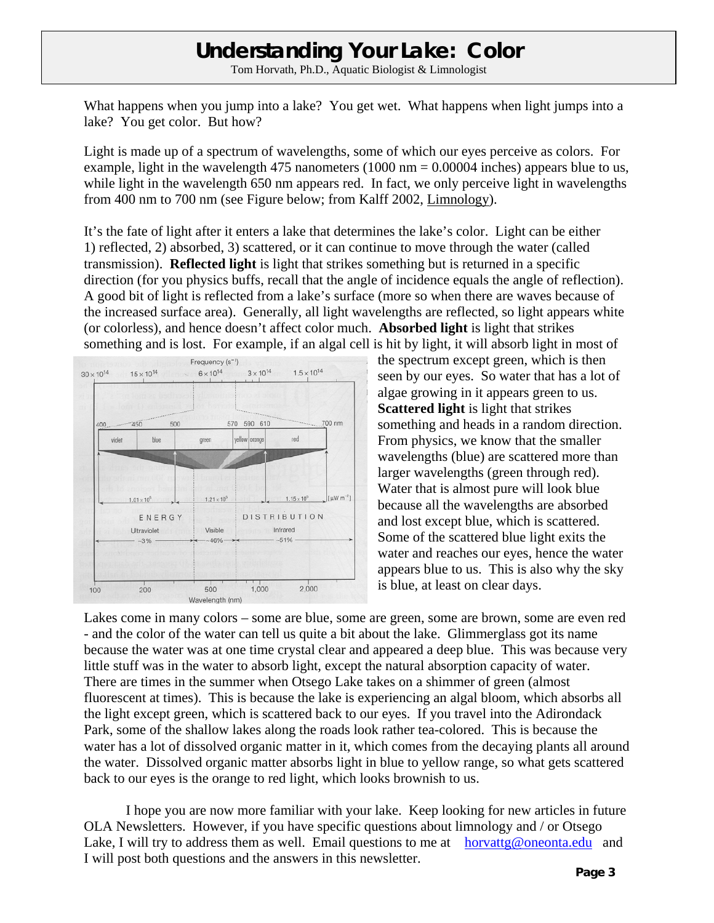### **Understanding Your Lake: Color**

Tom Horvath, Ph.D., Aquatic Biologist & Limnologist

What happens when you jump into a lake? You get wet. What happens when light jumps into a lake? You get color. But how?

Light is made up of a spectrum of wavelengths, some of which our eyes perceive as colors. For example, light in the wavelength 475 nanometers  $(1000 \text{ nm} = 0.00004 \text{ inches})$  appears blue to us, while light in the wavelength 650 nm appears red. In fact, we only perceive light in wavelengths from 400 nm to 700 nm (see Figure below; from Kalff 2002, Limnology).

It's the fate of light after it enters a lake that determines the lake's color. Light can be either 1) reflected, 2) absorbed, 3) scattered, or it can continue to move through the water (called transmission). **Reflected light** is light that strikes something but is returned in a specific direction (for you physics buffs, recall that the angle of incidence equals the angle of reflection). A good bit of light is reflected from a lake's surface (more so when there are waves because of the increased surface area). Generally, all light wavelengths are reflected, so light appears white (or colorless), and hence doesn't affect color much. **Absorbed light** is light that strikes something and is lost. For example, if an algal cell is hit by light, it will absorb light in most of



the spectrum except green, which is then seen by our eyes. So water that has a lot of algae growing in it appears green to us. **Scattered light** is light that strikes something and heads in a random direction. From physics, we know that the smaller wavelengths (blue) are scattered more than larger wavelengths (green through red). Water that is almost pure will look blue because all the wavelengths are absorbed and lost except blue, which is scattered. Some of the scattered blue light exits the water and reaches our eyes, hence the water appears blue to us. This is also why the sky is blue, at least on clear days.

Lakes come in many colors – some are blue, some are green, some are brown, some are even red - and the color of the water can tell us quite a bit about the lake. Glimmerglass got its name because the water was at one time crystal clear and appeared a deep blue. This was because very little stuff was in the water to absorb light, except the natural absorption capacity of water. There are times in the summer when Otsego Lake takes on a shimmer of green (almost fluorescent at times). This is because the lake is experiencing an algal bloom, which absorbs all the light except green, which is scattered back to our eyes. If you travel into the Adirondack Park, some of the shallow lakes along the roads look rather tea-colored. This is because the water has a lot of dissolved organic matter in it, which comes from the decaying plants all around the water. Dissolved organic matter absorbs light in blue to yellow range, so what gets scattered back to our eyes is the orange to red light, which looks brownish to us.

 I hope you are now more familiar with your lake. Keep looking for new articles in future OLA Newsletters. However, if you have specific questions about limnology and / or Otsego Lake, I will try to address them as well. Email questions to me at horvattg@oneonta.edu and I will post both questions and the answers in this newsletter.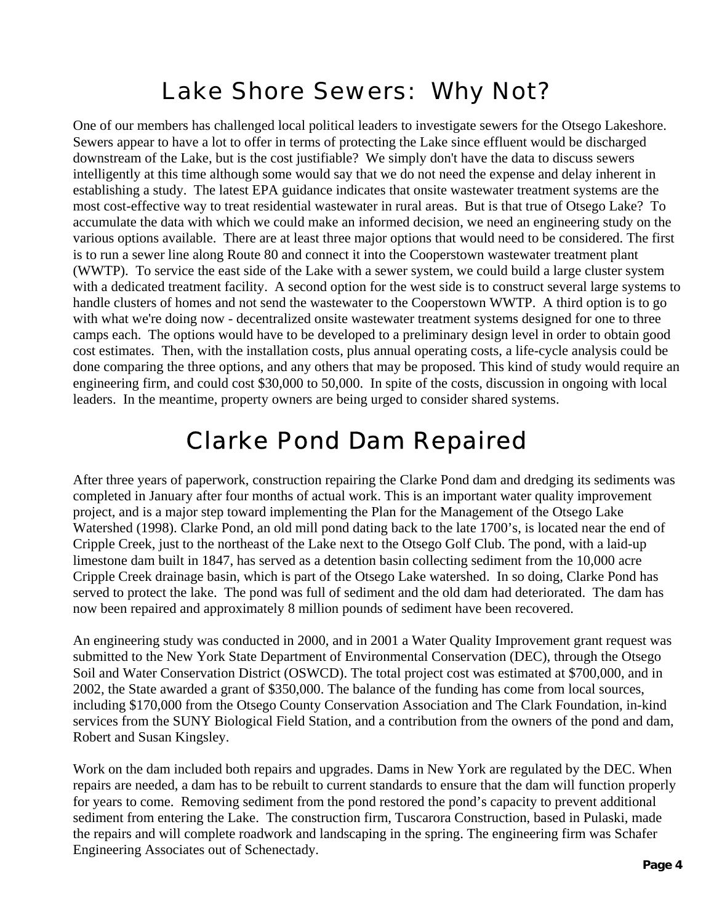## Lake Shore Sewers: Why Not?

One of our members has challenged local political leaders to investigate sewers for the Otsego Lakeshore. Sewers appear to have a lot to offer in terms of protecting the Lake since effluent would be discharged downstream of the Lake, but is the cost justifiable? We simply don't have the data to discuss sewers intelligently at this time although some would say that we do not need the expense and delay inherent in establishing a study. The latest EPA guidance indicates that onsite wastewater treatment systems are the most cost-effective way to treat residential wastewater in rural areas. But is that true of Otsego Lake? To accumulate the data with which we could make an informed decision, we need an engineering study on the various options available. There are at least three major options that would need to be considered. The first is to run a sewer line along Route 80 and connect it into the Cooperstown wastewater treatment plant (WWTP). To service the east side of the Lake with a sewer system, we could build a large cluster system with a dedicated treatment facility. A second option for the west side is to construct several large systems to handle clusters of homes and not send the wastewater to the Cooperstown WWTP. A third option is to go with what we're doing now - decentralized onsite wastewater treatment systems designed for one to three camps each. The options would have to be developed to a preliminary design level in order to obtain good cost estimates. Then, with the installation costs, plus annual operating costs, a life-cycle analysis could be done comparing the three options, and any others that may be proposed. This kind of study would require an engineering firm, and could cost \$30,000 to 50,000. In spite of the costs, discussion in ongoing with local leaders. In the meantime, property owners are being urged to consider shared systems.

## Clarke Pond Dam Repaired

After three years of paperwork, construction repairing the Clarke Pond dam and dredging its sediments was completed in January after four months of actual work. This is an important water quality improvement project, and is a major step toward implementing the Plan for the Management of the Otsego Lake Watershed (1998). Clarke Pond, an old mill pond dating back to the late 1700's, is located near the end of Cripple Creek, just to the northeast of the Lake next to the Otsego Golf Club. The pond, with a laid-up limestone dam built in 1847, has served as a detention basin collecting sediment from the 10,000 acre Cripple Creek drainage basin, which is part of the Otsego Lake watershed. In so doing, Clarke Pond has served to protect the lake. The pond was full of sediment and the old dam had deteriorated. The dam has now been repaired and approximately 8 million pounds of sediment have been recovered.

An engineering study was conducted in 2000, and in 2001 a Water Quality Improvement grant request was submitted to the New York State Department of Environmental Conservation (DEC), through the Otsego Soil and Water Conservation District (OSWCD). The total project cost was estimated at \$700,000, and in 2002, the State awarded a grant of \$350,000. The balance of the funding has come from local sources, including \$170,000 from the Otsego County Conservation Association and The Clark Foundation, in-kind services from the SUNY Biological Field Station, and a contribution from the owners of the pond and dam, Robert and Susan Kingsley.

Work on the dam included both repairs and upgrades. Dams in New York are regulated by the DEC. When repairs are needed, a dam has to be rebuilt to current standards to ensure that the dam will function properly for years to come. Removing sediment from the pond restored the pond's capacity to prevent additional sediment from entering the Lake. The construction firm, Tuscarora Construction, based in Pulaski, made the repairs and will complete roadwork and landscaping in the spring. The engineering firm was Schafer Engineering Associates out of Schenectady.